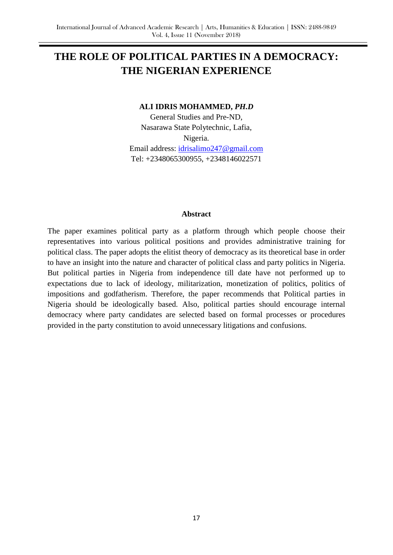# **THE ROLE OF POLITICAL PARTIES IN A DEMOCRACY: THE NIGERIAN EXPERIENCE**

#### **ALI IDRIS MOHAMMED,** *PH.D*

General Studies and Pre-ND, Nasarawa State Polytechnic, Lafia, Nigeria.

Email address: [idrisalimo247@gmail.com](mailto:idrisalimo247@gmail.com) Tel: +2348065300955, +2348146022571

#### **Abstract**

The paper examines political party as a platform through which people choose their representatives into various political positions and provides administrative training for political class. The paper adopts the elitist theory of democracy as its theoretical base in order to have an insight into the nature and character of political class and party politics in Nigeria. But political parties in Nigeria from independence till date have not performed up to expectations due to lack of ideology, militarization, monetization of politics, politics of impositions and godfatherism. Therefore, the paper recommends that Political parties in Nigeria should be ideologically based. Also, political parties should encourage internal democracy where party candidates are selected based on formal processes or procedures provided in the party constitution to avoid unnecessary litigations and confusions.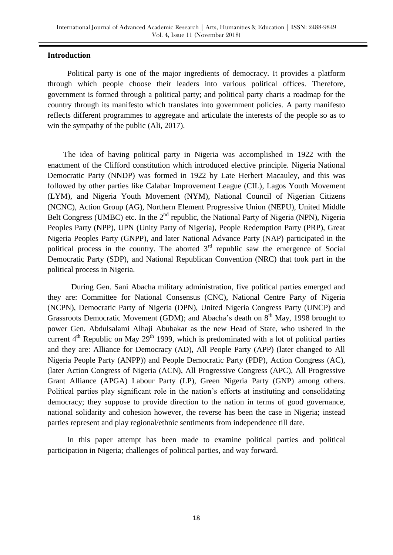#### **Introduction**

 Political party is one of the major ingredients of democracy. It provides a platform through which people choose their leaders into various political offices. Therefore, government is formed through a political party; and political party charts a roadmap for the country through its manifesto which translates into government policies. A party manifesto reflects different programmes to aggregate and articulate the interests of the people so as to win the sympathy of the public (Ali, 2017).

 The idea of having political party in Nigeria was accomplished in 1922 with the enactment of the Clifford constitution which introduced elective principle. Nigeria National Democratic Party (NNDP) was formed in 1922 by Late Herbert Macauley, and this was followed by other parties like Calabar Improvement League (CIL), Lagos Youth Movement (LYM), and Nigeria Youth Movement (NYM), National Council of Nigerian Citizens (NCNC), Action Group (AG), Northern Element Progressive Union (NEPU), United Middle Belt Congress (UMBC) etc. In the  $2<sup>nd</sup>$  republic, the National Party of Nigeria (NPN), Nigeria Peoples Party (NPP), UPN (Unity Party of Nigeria), People Redemption Party (PRP), Great Nigeria Peoples Party (GNPP), and later National Advance Party (NAP) participated in the political process in the country. The aborted  $3<sup>rd</sup>$  republic saw the emergence of Social Democratic Party (SDP), and National Republican Convention (NRC) that took part in the political process in Nigeria.

 During Gen. Sani Abacha military administration, five political parties emerged and they are: Committee for National Consensus (CNC), National Centre Party of Nigeria (NCPN), Democratic Party of Nigeria (DPN), United Nigeria Congress Party (UNCP) and Grassroots Democratic Movement (GDM); and Abacha's death on  $8<sup>th</sup>$  May, 1998 brought to power Gen. Abdulsalami Alhaji Abubakar as the new Head of State, who ushered in the current  $4<sup>th</sup>$  Republic on May 29<sup>th</sup> 1999, which is predominated with a lot of political parties and they are: Alliance for Democracy (AD), All People Party (APP) (later changed to All Nigeria People Party (ANPP)) and People Democratic Party (PDP), Action Congress (AC), (later Action Congress of Nigeria (ACN), All Progressive Congress (APC), All Progressive Grant Alliance (APGA) Labour Party (LP), Green Nigeria Party (GNP) among others. Political parties play significant role in the nation"s efforts at instituting and consolidating democracy; they suppose to provide direction to the nation in terms of good governance, national solidarity and cohesion however, the reverse has been the case in Nigeria; instead parties represent and play regional/ethnic sentiments from independence till date.

 In this paper attempt has been made to examine political parties and political participation in Nigeria; challenges of political parties, and way forward.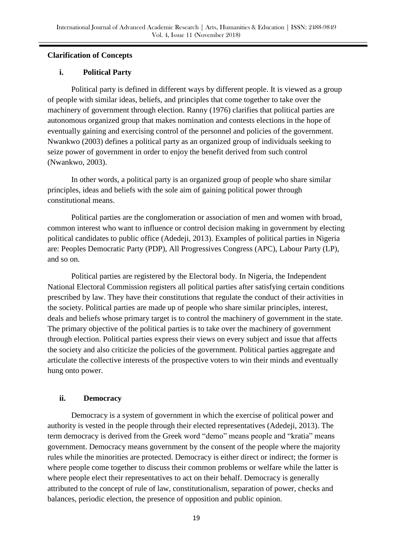## **Clarification of Concepts**

## **i. Political Party**

Political party is defined in different ways by different people. It is viewed as a group of people with similar ideas, beliefs, and principles that come together to take over the machinery of government through election. Ranny (1976) clarifies that political parties are autonomous organized group that makes nomination and contests elections in the hope of eventually gaining and exercising control of the personnel and policies of the government. Nwankwo (2003) defines a political party as an organized group of individuals seeking to seize power of government in order to enjoy the benefit derived from such control (Nwankwo, 2003).

In other words, a political party is an organized group of people who share similar principles, ideas and beliefs with the sole aim of gaining political power through constitutional means.

Political parties are the conglomeration or association of men and women with broad, common interest who want to influence or control decision making in government by electing political candidates to public office (Adedeji, 2013). Examples of political parties in Nigeria are: Peoples Democratic Party (PDP), All Progressives Congress (APC), Labour Party (LP), and so on.

Political parties are registered by the Electoral body. In Nigeria, the Independent National Electoral Commission registers all political parties after satisfying certain conditions prescribed by law. They have their constitutions that regulate the conduct of their activities in the society. Political parties are made up of people who share similar principles, interest, deals and beliefs whose primary target is to control the machinery of government in the state. The primary objective of the political parties is to take over the machinery of government through election. Political parties express their views on every subject and issue that affects the society and also criticize the policies of the government. Political parties aggregate and articulate the collective interests of the prospective voters to win their minds and eventually hung onto power.

## **ii. Democracy**

Democracy is a system of government in which the exercise of political power and authority is vested in the people through their elected representatives (Adedeji, 2013). The term democracy is derived from the Greek word "demo" means people and "kratia" means government. Democracy means government by the consent of the people where the majority rules while the minorities are protected. Democracy is either direct or indirect; the former is where people come together to discuss their common problems or welfare while the latter is where people elect their representatives to act on their behalf. Democracy is generally attributed to the concept of rule of law, constitutionalism, separation of power, checks and balances, periodic election, the presence of opposition and public opinion.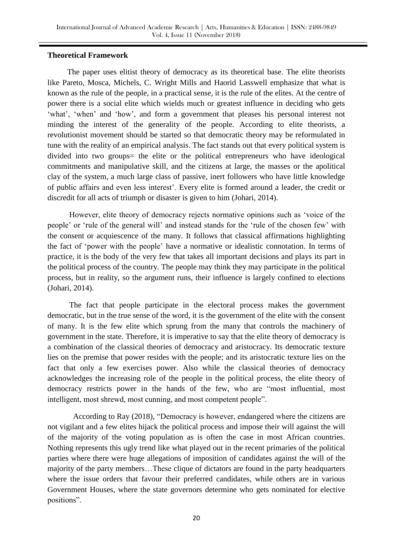#### **Theoretical Framework**

 The paper uses elitist theory of democracy as its theoretical base. The elite theorists like Pareto, Mosca, Michels, C. Wright Mills and Haorid Lasswell emphasize that what is known as the rule of the people, in a practical sense, it is the rule of the elites. At the centre of power there is a social elite which wields much or greatest influence in deciding who gets 'what', 'when' and 'how', and form a government that pleases his personal interest not minding the interest of the generality of the people. According to elite theorists, a revolutionist movement should be started so that democratic theory may be reformulated in tune with the reality of an empirical analysis. The fact stands out that every political system is divided into two groups= the elite or the political entrepreneurs who have ideological commitments and manipulative skill, and the citizens at large, the masses or the apolitical clay of the system, a much large class of passive, inert followers who have little knowledge of public affairs and even less interest". Every elite is formed around a leader, the credit or discredit for all acts of triumph or disaster is given to him (Johari, 2014).

 However, elite theory of democracy rejects normative opinions such as "voice of the people" or "rule of the general will" and instead stands for the "rule of the chosen few" with the consent or acquiescence of the many. It follows that classical affirmations highlighting the fact of "power with the people" have a normative or idealistic connotation. In terms of practice, it is the body of the very few that takes all important decisions and plays its part in the political process of the country. The people may think they may participate in the political process, but in reality, so the argument runs, their influence is largely confined to elections (Johari, 2014).

 The fact that people participate in the electoral process makes the government democratic, but in the true sense of the word, it is the government of the elite with the consent of many. It is the few elite which sprung from the many that controls the machinery of government in the state. Therefore, it is imperative to say that the elite theory of democracy is a combination of the classical theories of democracy and aristocracy. Its democratic texture lies on the premise that power resides with the people; and its aristocratic texture lies on the fact that only a few exercises power. Also while the classical theories of democracy acknowledges the increasing role of the people in the political process, the elite theory of democracy restricts power in the hands of the few, who are "most influential, most intelligent, most shrewd, most cunning, and most competent people".

 According to Ray (2018), "Democracy is however, endangered where the citizens are not vigilant and a few elites hijack the political process and impose their will against the will of the majority of the voting population as is often the case in most African countries. Nothing represents this ugly trend like what played out in the recent primaries of the political parties where there were huge allegations of imposition of candidates against the will of the majority of the party members…These clique of dictators are found in the party headquarters where the issue orders that favour their preferred candidates, while others are in various Government Houses, where the state governors determine who gets nominated for elective positions".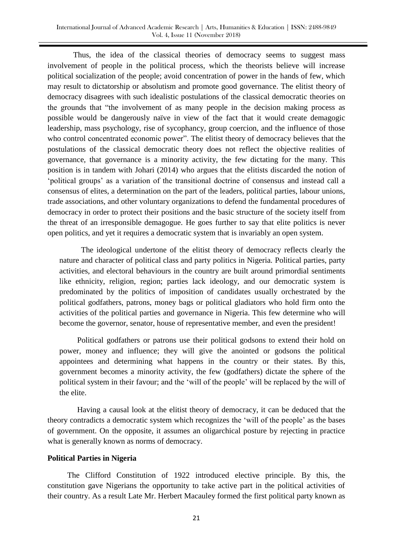Thus, the idea of the classical theories of democracy seems to suggest mass involvement of people in the political process, which the theorists believe will increase political socialization of the people; avoid concentration of power in the hands of few, which may result to dictatorship or absolutism and promote good governance. The elitist theory of democracy disagrees with such idealistic postulations of the classical democratic theories on the grounds that "the involvement of as many people in the decision making process as possible would be dangerously naïve in view of the fact that it would create demagogic leadership, mass psychology, rise of sycophancy, group coercion, and the influence of those who control concentrated economic power". The elitist theory of democracy believes that the postulations of the classical democratic theory does not reflect the objective realities of governance, that governance is a minority activity, the few dictating for the many. This position is in tandem with Johari (2014) who argues that the elitists discarded the notion of "political groups" as a variation of the transitional doctrine of consensus and instead call a consensus of elites, a determination on the part of the leaders, political parties, labour unions, trade associations, and other voluntary organizations to defend the fundamental procedures of democracy in order to protect their positions and the basic structure of the society itself from the threat of an irresponsible demagogue. He goes further to say that elite politics is never open politics, and yet it requires a democratic system that is invariably an open system.

 The ideological undertone of the elitist theory of democracy reflects clearly the nature and character of political class and party politics in Nigeria. Political parties, party activities, and electoral behaviours in the country are built around primordial sentiments like ethnicity, religion, region; parties lack ideology, and our democratic system is predominated by the politics of imposition of candidates usually orchestrated by the political godfathers, patrons, money bags or political gladiators who hold firm onto the activities of the political parties and governance in Nigeria. This few determine who will become the governor, senator, house of representative member, and even the president!

 Political godfathers or patrons use their political godsons to extend their hold on power, money and influence; they will give the anointed or godsons the political appointees and determining what happens in the country or their states. By this, government becomes a minority activity, the few (godfathers) dictate the sphere of the political system in their favour; and the "will of the people" will be replaced by the will of the elite.

 Having a causal look at the elitist theory of democracy, it can be deduced that the theory contradicts a democratic system which recognizes the "will of the people" as the bases of government. On the opposite, it assumes an oligarchical posture by rejecting in practice what is generally known as norms of democracy.

#### **Political Parties in Nigeria**

 The Clifford Constitution of 1922 introduced elective principle. By this, the constitution gave Nigerians the opportunity to take active part in the political activities of their country. As a result Late Mr. Herbert Macauley formed the first political party known as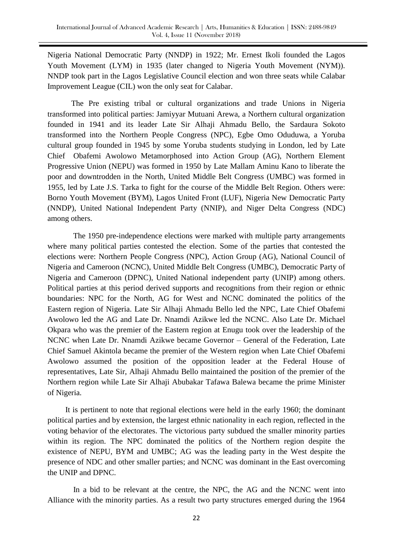Nigeria National Democratic Party (NNDP) in 1922; Mr. Ernest Ikoli founded the Lagos Youth Movement (LYM) in 1935 (later changed to Nigeria Youth Movement (NYM)). NNDP took part in the Lagos Legislative Council election and won three seats while Calabar Improvement League (CIL) won the only seat for Calabar.

 The Pre existing tribal or cultural organizations and trade Unions in Nigeria transformed into political parties: Jamiyyar Mutuani Arewa, a Northern cultural organization founded in 1941 and its leader Late Sir Alhaji Ahmadu Bello, the Sardaura Sokoto transformed into the Northern People Congress (NPC), Egbe Omo Oduduwa, a Yoruba cultural group founded in 1945 by some Yoruba students studying in London, led by Late Chief Obafemi Awolowo Metamorphosed into Action Group (AG), Northern Element Progressive Union (NEPU) was formed in 1950 by Late Mallam Aminu Kano to liberate the poor and downtrodden in the North, United Middle Belt Congress (UMBC) was formed in 1955, led by Late J.S. Tarka to fight for the course of the Middle Belt Region. Others were: Borno Youth Movement (BYM), Lagos United Front (LUF), Nigeria New Democratic Party (NNDP), United National Independent Party (NNIP), and Niger Delta Congress (NDC) among others.

 The 1950 pre-independence elections were marked with multiple party arrangements where many political parties contested the election. Some of the parties that contested the elections were: Northern People Congress (NPC), Action Group (AG), National Council of Nigeria and Cameroon (NCNC), United Middle Belt Congress (UMBC), Democratic Party of Nigeria and Cameroon (DPNC), United National independent party (UNIP) among others. Political parties at this period derived supports and recognitions from their region or ethnic boundaries: NPC for the North, AG for West and NCNC dominated the politics of the Eastern region of Nigeria. Late Sir Alhaji Ahmadu Bello led the NPC, Late Chief Obafemi Awolowo led the AG and Late Dr. Nnamdi Azikwe led the NCNC. Also Late Dr. Michael Okpara who was the premier of the Eastern region at Enugu took over the leadership of the NCNC when Late Dr. Nnamdi Azikwe became Governor – General of the Federation, Late Chief Samuel Akintola became the premier of the Western region when Late Chief Obafemi Awolowo assumed the position of the opposition leader at the Federal House of representatives, Late Sir, Alhaji Ahmadu Bello maintained the position of the premier of the Northern region while Late Sir Alhaji Abubakar Tafawa Balewa became the prime Minister of Nigeria.

 It is pertinent to note that regional elections were held in the early 1960; the dominant political parties and by extension, the largest ethnic nationality in each region, reflected in the voting behavior of the electorates. The victorious party subdued the smaller minority parties within its region. The NPC dominated the politics of the Northern region despite the existence of NEPU, BYM and UMBC; AG was the leading party in the West despite the presence of NDC and other smaller parties; and NCNC was dominant in the East overcoming the UNIP and DPNC.

 In a bid to be relevant at the centre, the NPC, the AG and the NCNC went into Alliance with the minority parties. As a result two party structures emerged during the 1964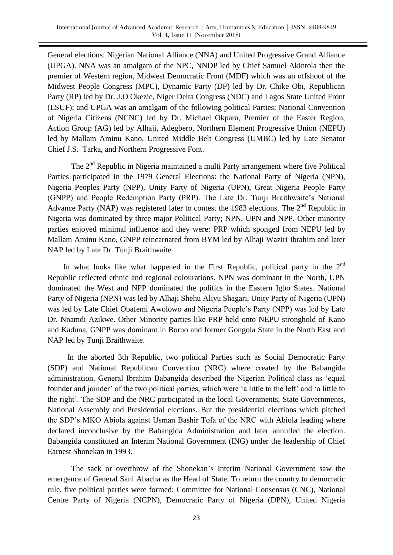General elections: Nigerian National Alliance (NNA) and United Progressive Grand Alliance (UPGA). NNA was an amalgam of the NPC, NNDP led by Chief Samuel Akintola then the premier of Western region, Midwest Democratic Front (MDF) which was an offshoot of the Midwest People Congress (MPC), Dynamic Party (DP) led by Dr. Chike Obi, Republican Party (RP) led by Dr. J.O Okezie, Niger Delta Congress (NDC) and Lagos State United Front (LSUF); and UPGA was an amalgam of the following political Parties: National Convention of Nigeria Citizens (NCNC) led by Dr. Michael Okpara, Premier of the Easter Region, Action Group (AG) led by Alhaji, Adegbero, Northern Element Progressive Union (NEPU) led by Mallam Aminu Kano, United Middle Belt Congress (UMBC) led by Late Senator Chief J.S. Tarka, and Northern Progressive Font.

The 2<sup>nd</sup> Republic in Nigeria maintained a multi Party arrangement where five Political Parties participated in the 1979 General Elections: the National Party of Nigeria (NPN), Nigeria Peoples Party (NPP), Unity Party of Nigeria (UPN), Great Nigeria People Party (GNPP) and People Redemption Party (PRP). The Late Dr. Tunji Braithwaite"s National Advance Party (NAP) was registered later to contest the 1983 elections. The 2<sup>nd</sup> Republic in Nigeria was dominated by three major Political Party; NPN, UPN and NPP. Other minority parties enjoyed minimal influence and they were: PRP which sponged from NEPU led by Mallam Aminu Kano, GNPP reincarnated from BYM led by Alhaji Waziri Ibrahim and later NAP led by Late Dr. Tunji Braithwaite.

In what looks like what happened in the First Republic, political party in the  $2<sup>nd</sup>$ Republic reflected ethnic and regional colourations. NPN was dominant in the North, UPN dominated the West and NPP dominated the politics in the Eastern Igbo States. National Party of Nigeria (NPN) was led by Alhaji Shehu Aliyu Shagari, Unity Party of Nigeria (UPN) was led by Late Chief Obafemi Awolowo and Nigeria People"s Party (NPP) was led by Late Dr. Nnamdi Azikwe. Other Minority parties like PRP held onto NEPU stronghold of Kano and Kaduna, GNPP was dominant in Borno and former Gongola State in the North East and NAP led by Tunji Braithwaite.

 In the aborted 3th Republic, two political Parties such as Social Democratic Party (SDP) and National Republican Convention (NRC) where created by the Babangida administration. General Ibrahim Babangida described the Nigerian Political class as "equal founder and joinder" of the two political parties, which were "a little to the left" and "a little to the right'. The SDP and the NRC participated in the local Governments, State Governments, National Assembly and Presidential elections. But the presidential elections which pitched the SDP"s MKO Abiola against Usman Bashir Tofa of the NRC with Abiola leading where declared inconclusive by the Babangida Administration and later annulled the election. Babangida constituted an Interim National Government (ING) under the leadership of Chief Earnest Shonekan in 1993.

 The sack or overthrow of the Shonekan"s Interim National Government saw the emergence of General Sani Abacha as the Head of State. To return the country to democratic rule, five political parties were formed: Committee for National Consensus (CNC), National Centre Party of Nigeria (NCPN), Democratic Party of Nigeria (DPN), United Nigeria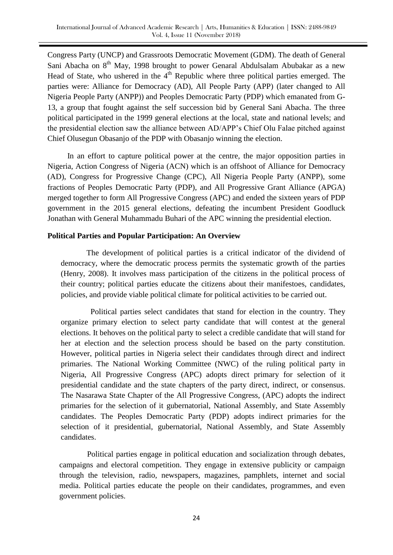Congress Party (UNCP) and Grassroots Democratic Movement (GDM). The death of General Sani Abacha on  $8<sup>th</sup>$  May, 1998 brought to power Genaral Abdulsalam Abubakar as a new Head of State, who ushered in the  $4<sup>th</sup>$  Republic where three political parties emerged. The parties were: Alliance for Democracy (AD), All People Party (APP) (later changed to All Nigeria People Party (ANPP)) and Peoples Democratic Party (PDP) which emanated from G-13, a group that fought against the self succession bid by General Sani Abacha. The three political participated in the 1999 general elections at the local, state and national levels; and the presidential election saw the alliance between AD/APP"s Chief Olu Falae pitched against Chief Olusegun Obasanjo of the PDP with Obasanjo winning the election.

 In an effort to capture political power at the centre, the major opposition parties in Nigeria, Action Congress of Nigeria (ACN) which is an offshoot of Alliance for Democracy (AD), Congress for Progressive Change (CPC), All Nigeria People Party (ANPP), some fractions of Peoples Democratic Party (PDP), and All Progressive Grant Alliance (APGA) merged together to form All Progressive Congress (APC) and ended the sixteen years of PDP government in the 2015 general elections, defeating the incumbent President Goodluck Jonathan with General Muhammadu Buhari of the APC winning the presidential election.

## **Political Parties and Popular Participation: An Overview**

 The development of political parties is a critical indicator of the dividend of democracy, where the democratic process permits the systematic growth of the parties (Henry, 2008). It involves mass participation of the citizens in the political process of their country; political parties educate the citizens about their manifestoes, candidates, policies, and provide viable political climate for political activities to be carried out.

 Political parties select candidates that stand for election in the country. They organize primary election to select party candidate that will contest at the general elections. It behoves on the political party to select a credible candidate that will stand for her at election and the selection process should be based on the party constitution. However, political parties in Nigeria select their candidates through direct and indirect primaries. The National Working Committee (NWC) of the ruling political party in Nigeria, All Progressive Congress (APC) adopts direct primary for selection of it presidential candidate and the state chapters of the party direct, indirect, or consensus. The Nasarawa State Chapter of the All Progressive Congress, (APC) adopts the indirect primaries for the selection of it gubernatorial, National Assembly, and State Assembly candidates. The Peoples Democratic Party (PDP) adopts indirect primaries for the selection of it presidential, gubernatorial, National Assembly, and State Assembly candidates.

 Political parties engage in political education and socialization through debates, campaigns and electoral competition. They engage in extensive publicity or campaign through the television, radio, newspapers, magazines, pamphlets, internet and social media. Political parties educate the people on their candidates, programmes, and even government policies.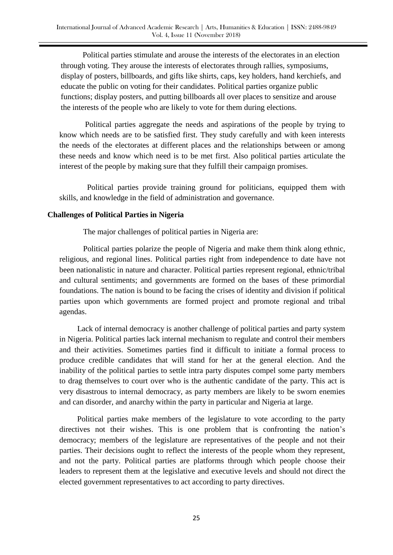Political parties stimulate and arouse the interests of the electorates in an election through voting. They arouse the interests of electorates through rallies, symposiums, display of posters, billboards, and gifts like shirts, caps, key holders, hand kerchiefs, and educate the public on voting for their candidates. Political parties organize public functions; display posters, and putting billboards all over places to sensitize and arouse the interests of the people who are likely to vote for them during elections.

 Political parties aggregate the needs and aspirations of the people by trying to know which needs are to be satisfied first. They study carefully and with keen interests the needs of the electorates at different places and the relationships between or among these needs and know which need is to be met first. Also political parties articulate the interest of the people by making sure that they fulfill their campaign promises.

 Political parties provide training ground for politicians, equipped them with skills, and knowledge in the field of administration and governance.

### **Challenges of Political Parties in Nigeria**

The major challenges of political parties in Nigeria are:

 Political parties polarize the people of Nigeria and make them think along ethnic, religious, and regional lines. Political parties right from independence to date have not been nationalistic in nature and character. Political parties represent regional, ethnic/tribal and cultural sentiments; and governments are formed on the bases of these primordial foundations. The nation is bound to be facing the crises of identity and division if political parties upon which governments are formed project and promote regional and tribal agendas.

 Lack of internal democracy is another challenge of political parties and party system in Nigeria. Political parties lack internal mechanism to regulate and control their members and their activities. Sometimes parties find it difficult to initiate a formal process to produce credible candidates that will stand for her at the general election. And the inability of the political parties to settle intra party disputes compel some party members to drag themselves to court over who is the authentic candidate of the party. This act is very disastrous to internal democracy, as party members are likely to be sworn enemies and can disorder, and anarchy within the party in particular and Nigeria at large.

 Political parties make members of the legislature to vote according to the party directives not their wishes. This is one problem that is confronting the nation"s democracy; members of the legislature are representatives of the people and not their parties. Their decisions ought to reflect the interests of the people whom they represent, and not the party. Political parties are platforms through which people choose their leaders to represent them at the legislative and executive levels and should not direct the elected government representatives to act according to party directives.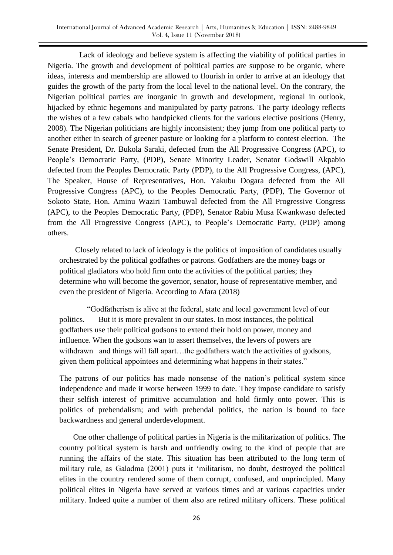Lack of ideology and believe system is affecting the viability of political parties in Nigeria. The growth and development of political parties are suppose to be organic, where ideas, interests and membership are allowed to flourish in order to arrive at an ideology that guides the growth of the party from the local level to the national level. On the contrary, the Nigerian political parties are inorganic in growth and development, regional in outlook, hijacked by ethnic hegemons and manipulated by party patrons. The party ideology reflects the wishes of a few cabals who handpicked clients for the various elective positions (Henry, 2008). The Nigerian politicians are highly inconsistent; they jump from one political party to another either in search of greener pasture or looking for a platform to contest election. The Senate President, Dr. Bukola Saraki, defected from the All Progressive Congress (APC), to People"s Democratic Party, (PDP), Senate Minority Leader, Senator Godswill Akpabio defected from the Peoples Democratic Party (PDP), to the All Progressive Congress, (APC), The Speaker, House of Representatives, Hon. Yakubu Dogara defected from the All Progressive Congress (APC), to the Peoples Democratic Party, (PDP), The Governor of Sokoto State, Hon. Aminu Waziri Tambuwal defected from the All Progressive Congress (APC), to the Peoples Democratic Party, (PDP), Senator Rabiu Musa Kwankwaso defected from the All Progressive Congress (APC), to People"s Democratic Party, (PDP) among others.

 Closely related to lack of ideology is the politics of imposition of candidates usually orchestrated by the political godfathes or patrons. Godfathers are the money bags or political gladiators who hold firm onto the activities of the political parties; they determine who will become the governor, senator, house of representative member, and even the president of Nigeria. According to Afara (2018)

 "Godfatherism is alive at the federal, state and local government level of our politics. But it is more prevalent in our states. In most instances, the political godfathers use their political godsons to extend their hold on power, money and influence. When the godsons wan to assert themselves, the levers of powers are withdrawn and things will fall apart...the godfathers watch the activities of godsons, given them political appointees and determining what happens in their states."

The patrons of our politics has made nonsense of the nation"s political system since independence and made it worse between 1999 to date. They impose candidate to satisfy their selfish interest of primitive accumulation and hold firmly onto power. This is politics of prebendalism; and with prebendal politics, the nation is bound to face backwardness and general underdevelopment.

 One other challenge of political parties in Nigeria is the militarization of politics. The country political system is harsh and unfriendly owing to the kind of people that are running the affairs of the state. This situation has been attributed to the long term of military rule, as Galadma (2001) puts it "militarism, no doubt, destroyed the political elites in the country rendered some of them corrupt, confused, and unprincipled. Many political elites in Nigeria have served at various times and at various capacities under military. Indeed quite a number of them also are retired military officers. These political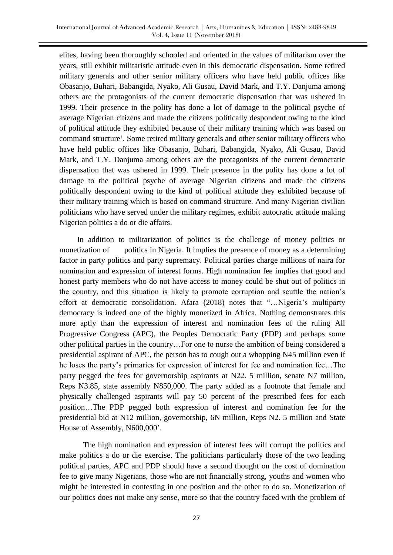elites, having been thoroughly schooled and oriented in the values of militarism over the years, still exhibit militaristic attitude even in this democratic dispensation. Some retired military generals and other senior military officers who have held public offices like Obasanjo, Buhari, Babangida, Nyako, Ali Gusau, David Mark, and T.Y. Danjuma among others are the protagonists of the current democratic dispensation that was ushered in 1999. Their presence in the polity has done a lot of damage to the political psyche of average Nigerian citizens and made the citizens politically despondent owing to the kind of political attitude they exhibited because of their military training which was based on command structure". Some retired military generals and other senior military officers who have held public offices like Obasanjo, Buhari, Babangida, Nyako, Ali Gusau, David Mark, and T.Y. Danjuma among others are the protagonists of the current democratic dispensation that was ushered in 1999. Their presence in the polity has done a lot of damage to the political psyche of average Nigerian citizens and made the citizens politically despondent owing to the kind of political attitude they exhibited because of their military training which is based on command structure. And many Nigerian civilian politicians who have served under the military regimes, exhibit autocratic attitude making Nigerian politics a do or die affairs.

 In addition to militarization of politics is the challenge of money politics or monetization of politics in Nigeria. It implies the presence of money as a determining factor in party politics and party supremacy. Political parties charge millions of naira for nomination and expression of interest forms. High nomination fee implies that good and honest party members who do not have access to money could be shut out of politics in the country, and this situation is likely to promote corruption and scuttle the nation"s effort at democratic consolidation. Afara (2018) notes that "...Nigeria's multiparty democracy is indeed one of the highly monetized in Africa. Nothing demonstrates this more aptly than the expression of interest and nomination fees of the ruling All Progressive Congress (APC), the Peoples Democratic Party (PDP) and perhaps some other political parties in the country…For one to nurse the ambition of being considered a presidential aspirant of APC, the person has to cough out a whopping N45 million even if he loses the party"s primaries for expression of interest for fee and nomination fee…The party pegged the fees for governorship aspirants at N22. 5 million, senate N7 million, Reps N3.85, state assembly N850,000. The party added as a footnote that female and physically challenged aspirants will pay 50 percent of the prescribed fees for each position…The PDP pegged both expression of interest and nomination fee for the presidential bid at N12 million, governorship, 6N million, Reps N2. 5 million and State House of Assembly, N600,000".

 The high nomination and expression of interest fees will corrupt the politics and make politics a do or die exercise. The politicians particularly those of the two leading political parties, APC and PDP should have a second thought on the cost of domination fee to give many Nigerians, those who are not financially strong, youths and women who might be interested in contesting in one position and the other to do so. Monetization of our politics does not make any sense, more so that the country faced with the problem of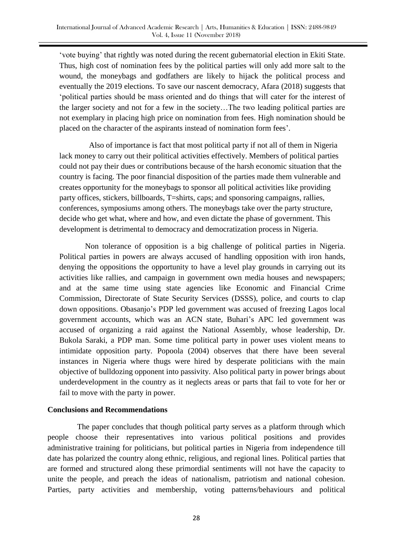"vote buying" that rightly was noted during the recent gubernatorial election in Ekiti State. Thus, high cost of nomination fees by the political parties will only add more salt to the wound, the moneybags and godfathers are likely to hijack the political process and eventually the 2019 elections. To save our nascent democracy, Afara (2018) suggests that "political parties should be mass oriented and do things that will cater for the interest of the larger society and not for a few in the society…The two leading political parties are not exemplary in placing high price on nomination from fees. High nomination should be placed on the character of the aspirants instead of nomination form fees".

 Also of importance is fact that most political party if not all of them in Nigeria lack money to carry out their political activities effectively. Members of political parties could not pay their dues or contributions because of the harsh economic situation that the country is facing. The poor financial disposition of the parties made them vulnerable and creates opportunity for the moneybags to sponsor all political activities like providing party offices, stickers, billboards, T=shirts, caps; and sponsoring campaigns, rallies, conferences, symposiums among others. The moneybags take over the party structure, decide who get what, where and how, and even dictate the phase of government. This development is detrimental to democracy and democratization process in Nigeria.

 Non tolerance of opposition is a big challenge of political parties in Nigeria. Political parties in powers are always accused of handling opposition with iron hands, denying the oppositions the opportunity to have a level play grounds in carrying out its activities like rallies, and campaign in government own media houses and newspapers; and at the same time using state agencies like Economic and Financial Crime Commission, Directorate of State Security Services (DSSS), police, and courts to clap down oppositions. Obasanjo"s PDP led government was accused of freezing Lagos local government accounts, which was an ACN state, Buhari"s APC led government was accused of organizing a raid against the National Assembly, whose leadership, Dr. Bukola Saraki, a PDP man. Some time political party in power uses violent means to intimidate opposition party. Popoola (2004) observes that there have been several instances in Nigeria where thugs were hired by desperate politicians with the main objective of bulldozing opponent into passivity. Also political party in power brings about underdevelopment in the country as it neglects areas or parts that fail to vote for her or fail to move with the party in power.

## **Conclusions and Recommendations**

The paper concludes that though political party serves as a platform through which people choose their representatives into various political positions and provides administrative training for politicians, but political parties in Nigeria from independence till date has polarized the country along ethnic, religious, and regional lines. Political parties that are formed and structured along these primordial sentiments will not have the capacity to unite the people, and preach the ideas of nationalism, patriotism and national cohesion. Parties, party activities and membership, voting patterns/behaviours and political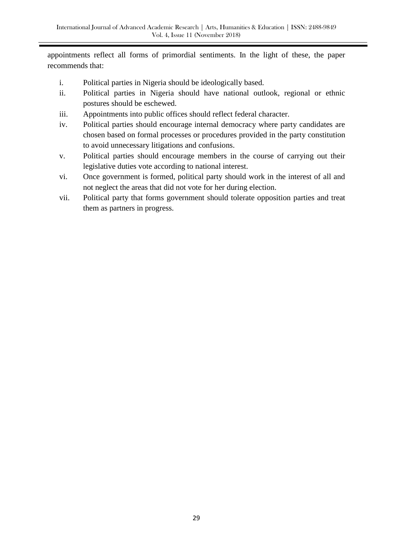appointments reflect all forms of primordial sentiments. In the light of these, the paper recommends that:

- i. Political parties in Nigeria should be ideologically based.
- ii. Political parties in Nigeria should have national outlook, regional or ethnic postures should be eschewed.
- iii. Appointments into public offices should reflect federal character.
- iv. Political parties should encourage internal democracy where party candidates are chosen based on formal processes or procedures provided in the party constitution to avoid unnecessary litigations and confusions.
- v. Political parties should encourage members in the course of carrying out their legislative duties vote according to national interest.
- vi. Once government is formed, political party should work in the interest of all and not neglect the areas that did not vote for her during election.
- vii. Political party that forms government should tolerate opposition parties and treat them as partners in progress.